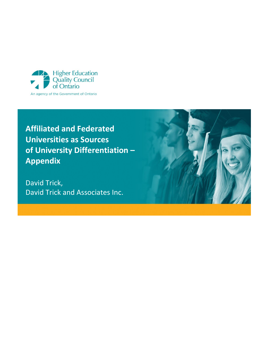

# **Affiliated and Federated Universities as Sources of University Differentiation – Appendix**

David Trick, David Trick and Associates Inc.

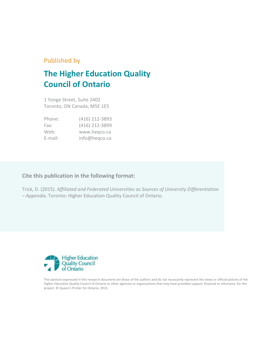# Published by

# **The Higher Education Quality Council of Ontario**

1 Yonge Street, Suite 2402 Toronto, ON Canada, M5E 1E5

| Phone:  | (416) 212-3893 |
|---------|----------------|
| Fax:    | (416) 212-3899 |
| Web:    | www.hegco.ca   |
| E-mail: | info@heqco.ca  |

# **Cite this publication in the following format:**

Trick, D. (2015). *Affiliated and Federated Universities as Sources of University Differentiation – Appendix.* Toronto: Higher Education Quality Council of Ontario.



The opinions expressed in this research document are those of the authors and do not necessarily represent the views or official policies of the Higher Education Quality Council of Ontario or other agencies or organizations that may have provided support, financial or otherwise, for this project. © Queen's Printer for Ontario, 2015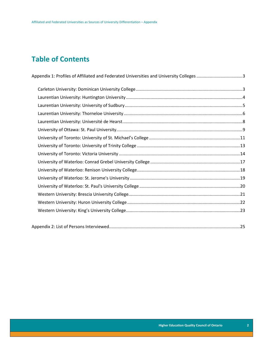# **Table of Contents**

| Appendix 1: Profiles of Affiliated and Federated Universities and University Colleges 3 |  |
|-----------------------------------------------------------------------------------------|--|
|                                                                                         |  |
|                                                                                         |  |
|                                                                                         |  |
|                                                                                         |  |
|                                                                                         |  |
|                                                                                         |  |
|                                                                                         |  |
|                                                                                         |  |
|                                                                                         |  |
|                                                                                         |  |
|                                                                                         |  |
|                                                                                         |  |
|                                                                                         |  |
|                                                                                         |  |
|                                                                                         |  |
|                                                                                         |  |
|                                                                                         |  |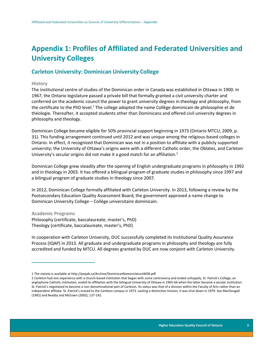# <span id="page-3-0"></span>**Appendix 1: Profiles of Affiliated and Federated Universities and University Colleges**

# <span id="page-3-1"></span>**Carleton University: Dominican University College**

## **History**

 $\overline{a}$ 

The institutional centre of studies of the Dominican order in Canada was established in Ottawa in 1900. In 1967, the Ontario legislature passed a private bill that formally granted a civil university charter and conferred on the academic council the power to grant university degrees in theology and philosophy, from the certificate to the PhD level.<sup>1</sup> The college adopted the name Collège dominicain de philosophie et de théologie. Thereafter, it accepted students other than Dominicans and offered civil university degrees in philosophy and theology.

Dominican College became eligible for 50% provincial support beginning in 1973 (Ontario MTCU, 2009, p. 31). This funding arrangement continued until 2012 and was unique among the religious-based colleges in Ontario. In effect, it recognized that Dominican was not in a position to affiliate with a publicly supported university; the University of Ottawa's origins were with a different Catholic order, the Oblates, and Carleton University's secular origins did not make it a good match for an affiliation.<sup>2</sup>

Dominican College grew steadily after the opening of English undergraduate programs in philosophy in 1992 and in theology in 2003. It has offered a bilingual program of graduate studies in philosophy since 1997 and a bilingual program of graduate studies in theology since 2007.

In 2012, Dominican College formally affiliated with Carleton University. In 2013, following a review by the Postsecondary Education Quality Assessment Board, the government approved a name change to Dominican University College – Collège universitaire dominicain.

**Academic Programs** Philosophy (certificate, baccalaureate, master's, PhD)

Theology (certificate, baccalaureate, master's, PhD)

In cooperation with Carleton University, DUC successfully completed its Institutional Quality Assurance Process (IQAP) in 2013. All graduate and undergraduate programs in philosophy and theology are fully accredited and funded by MTCU. All degrees granted by DUC are now conjoint with Carleton University.

<sup>1</sup> The statute is available at http://peqab.ca/Archive/DominicanNomenclatureWEB.pdf

<sup>2</sup> Carleton had one experience with a church-based institution that began with some controversy and ended unhappily. St. Patrick's College, an anglophone Catholic institution, ended its affiliation with the bilingual University of Ottawa in 1965-66 when the latter became a secular institution. St. Patrick's negotiated to become a non-denominational part of Carleton. Its status was that of a division within the Faculty of Arts rather than an independent affiliate. St. Patrick's moved to the Carleton campus in 1973. Lacking a distinctive mission, it was shut down in 1979. See MacDougall (1982) and Neatby and McEown (2002), 137-142.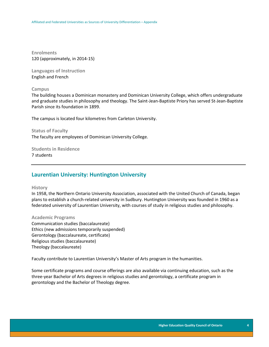**Enrolments** 120 (approximately, in 2014-15)

**Languages of Instruction** English and French

## **Campus**

The building houses a Dominican monastery and Dominican University College, which offers undergraduate and graduate studies in philosophy and theology. The Saint-Jean-Baptiste Priory has served St-Jean-Baptiste Parish since its foundation in 1899.

The campus is located four kilometres from Carleton University.

## **Status of Faculty**

The faculty are employees of Dominican University College.

**Students in Residence** 7 students

# <span id="page-4-0"></span>**Laurentian University: Huntington University**

## **History**

In 1958, the Northern Ontario University Association, associated with the United Church of Canada, began plans to establish a church-related university in Sudbury. Huntington University was founded in 1960 as a federated university of Laurentian University, with courses of study in religious studies and philosophy.

## **Academic Programs**

Communication studies (baccalaureate) Ethics (new admissions temporarily suspended) Gerontology (baccalaureate, certificate) Religious studies (baccalaureate) Theology (baccalaureate)

Faculty contribute to Laurentian University's Master of Arts program in the humanities.

Some certificate programs and course offerings are also available via continuing education, such as the three-year Bachelor of Arts degrees in religious studies and gerontology, a certificate program in gerontology and the Bachelor of Theology degree.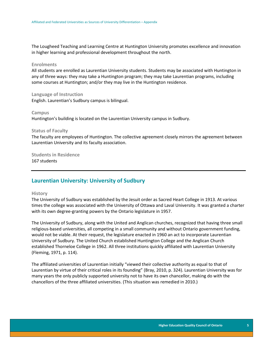The Lougheed Teaching and Learning Centre at Huntington University promotes excellence and innovation in higher learning and professional development throughout the north.

#### **Enrolments**

All students are enrolled as Laurentian University students. Students may be associated with Huntington in any of three ways: they may take a Huntington program; they may take Laurentian programs, including some courses at Huntington; and/or they may live in the Huntington residence.

**Language of Instruction** English. Laurentian's Sudbury campus is bilingual.

#### **Campus**

Huntington's building is located on the Laurentian University campus in Sudbury.

### **Status of Faculty**

The faculty are employees of Huntington. The collective agreement closely mirrors the agreement between Laurentian University and its faculty association.

**Students in Residence** 167 students

# <span id="page-5-0"></span>**Laurentian University: University of Sudbury**

#### **History**

The University of Sudbury was established by the Jesuit order as Sacred Heart College in 1913. At various times the college was associated with the University of Ottawa and Laval University. It was granted a charter with its own degree-granting powers by the Ontario legislature in 1957.

The University of Sudbury, along with the United and Anglican churches, recognized that having three small religious-based universities, all competing in a small community and without Ontario government funding, would not be viable. At their request, the legislature enacted in 1960 an act to incorporate Laurentian University of Sudbury. The United Church established Huntington College and the Anglican Church established Thorneloe College in 1962. All three institutions quickly affiliated with Laurentian University (Fleming, 1971, p. 114).

The affiliated universities of Laurentian initially "viewed their collective authority as equal to that of Laurentian by virtue of their critical roles in its founding" (Bray, 2010, p. 324). Laurentian University was for many years the only publicly supported university not to have its own chancellor, making do with the chancellors of the three affiliated universities. (This situation was remedied in 2010.)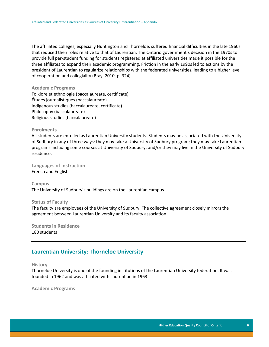The affiliated colleges, especially Huntington and Thorneloe, suffered financial difficulties in the late 1960s that reduced their roles relative to that of Laurentian. The Ontario government's decision in the 1970s to provide full per-student funding for students registered at affiliated universities made it possible for the three affiliates to expand their academic programming. Friction in the early 1990s led to actions by the president of Laurentian to regularize relationships with the federated universities, leading to a higher level of cooperation and collegiality (Bray, 2010, p. 324).

#### **Academic Programs**

Folklore et ethnologie (baccalaureate, certificate) Études journalistiques (baccalaureate) Indigenous studies (baccalaureate, certificate) Philosophy (baccalaureate) Religious studies (baccalaureate)

## **Enrolments**

All students are enrolled as Laurentian University students. Students may be associated with the University of Sudbury in any of three ways: they may take a University of Sudbury program; they may take Laurentian programs including some courses at University of Sudbury; and/or they may live in the University of Sudbury residence.

**Languages of Instruction** French and English

**Campus** The University of Sudbury's buildings are on the Laurentian campus.

#### **Status of Faculty**

The faculty are employees of the University of Sudbury. The collective agreement closely mirrors the agreement between Laurentian University and its faculty association.

**Students in Residence** 180 students

# <span id="page-6-0"></span>**Laurentian University: Thorneloe University**

**History**

Thorneloe University is one of the founding institutions of the Laurentian University federation. It was founded in 1962 and was affiliated with Laurentian in 1963.

**Academic Programs**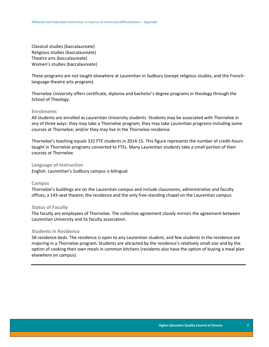Classical studies (baccalaureate) Religious studies (baccalaureate) Theatre arts (baccalaureate) Women's studies (baccalaureate)

These programs are not taught elsewhere at Laurentian in Sudbury (except religious studies, and the Frenchlanguage theatre arts program).

Thorneloe University offers certificate, diploma and bachelor's degree programs in theology through the School of Theology.

#### **Enrolments**

All students are enrolled as Laurentian University students. Students may be associated with Thorneloe in any of three ways: they may take a Thorneloe program; they may take Laurentian programs including some courses at Thorneloe; and/or they may live in the Thorneloe residence.

Thorneloe's teaching equals 332 FTE students in 2014-15. This figure represents the number of credit-hours taught in Thorneloe programs converted to FTEs. Many Laurentian students take a small portion of their courses at Thorneloe.

## **Language of Instruction**

English. Laurentian's Sudbury campus is bilingual.

#### **Campus**

Thorneloe's buildings are on the Laurentian campus and include classrooms, administrative and faculty offices, a 143-seat theatre, the residence and the only free-standing chapel on the Laurentian campus.

### **Status of Faculty**

The faculty are employees of Thorneloe. The collective agreement closely mirrors the agreement between Laurentian University and its faculty association.

## **Students in Residence**

58 residence beds. The residence is open to any Laurentian student, and few students in the residence are majoring in a Thorneloe program. Students are attracted by the residence's relatively small size and by the option of cooking their own meals in common kitchens (residents also have the option of buying a meal plan elsewhere on campus).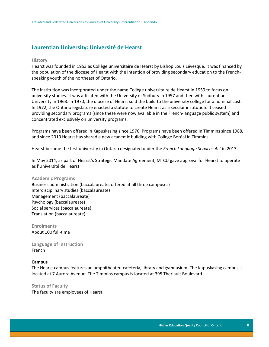# <span id="page-8-0"></span>**Laurentian University: Université de Hearst**

#### **History**

Hearst was founded in 1953 as Collège universitaire de Hearst by Bishop Louis Lévesque. It was financed by the population of the diocese of Hearst with the intention of providing secondary education to the Frenchspeaking youth of the northeast of Ontario.

The institution was incorporated under the name Collège universitaire de Hearst in 1959 to focus on university studies. It was affiliated with the University of Sudbury in 1957 and then with Laurentian University in 1963. In 1970, the diocese of Hearst sold the build to the university college for a nominal cost. In 1972, the Ontario legislature enacted a statute to create Hearst as a secular institution. It ceased providing secondary programs (since these were now available in the French-language public system) and concentrated exclusively on university programs.

Programs have been offered in Kapuskasing since 1976. Programs have been offered in Timmins since 1988, and since 2010 Hearst has shared a new academic building with Collège Boréal in Timmins.

Hearst became the first university in Ontario designated under the *French Language Services Act* in 2013.

In May 2014, as part of Hearst's Strategic Mandate Agreement, MTCU gave approval for Hearst to operate as l'Université de Hearst.

#### **Academic Programs**

Business administration (baccalaureate, offered at all three campuses) Interdisciplinary studies (baccalaureate) Management (baccalaureate) Psychology (baccalaureate) Social services (baccalaureate) Translation (baccalaureate)

**Enrolments** About 100 full-time

**Language of Instruction** French

#### **Campus**

The Hearst campus features an amphitheater, cafeteria, library and gymnasium. The Kapuskasing campus is located at 7 Aurora Avenue. The Timmins campus is located at 395 Theriault Boulevard.

**Status of Faculty** The faculty are employees of Hearst.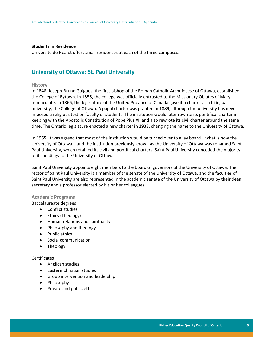## **Students in Residence**

Université de Hearst offers small residences at each of the three campuses.

# <span id="page-9-0"></span>**University of Ottawa: St. Paul University**

## **History**

In 1848, Joseph-Bruno Guigues, the first bishop of the Roman Catholic Archdiocese of Ottawa, established the College of Bytown. In 1856, the college was officially entrusted to the Missionary Oblates of Mary Immaculate. In 1866, the legislature of the United Province of Canada gave it a charter as a bilingual university, the College of Ottawa. A papal charter was granted in 1889, although the university has never imposed a religious test on faculty or students. The institution would later rewrite its pontifical charter in keeping with the Apostolic Constitution of Pope Pius XI, and also rewrote its civil charter around the same time. The Ontario legislature enacted a new charter in 1933, changing the name to the University of Ottawa.

In 1965, it was agreed that most of the institution would be turned over to a lay board – what is now the University of Ottawa – and the institution previously known as the University of Ottawa was renamed Saint Paul University, which retained its civil and pontifical charters. Saint Paul University conceded the majority of its holdings to the University of Ottawa.

Saint Paul University appoints eight members to the board of governors of the University of Ottawa. The rector of Saint Paul University is a member of the senate of the University of Ottawa, and the faculties of Saint Paul University are also represented in the academic senate of the University of Ottawa by their dean, secretary and a professor elected by his or her colleagues.

## **Academic Programs**

Baccalaureate degrees

- Conflict studies
- Ethics (Theology)
- Human relations and spirituality
- Philosophy and theology
- Public ethics
- Social communication
- Theology

#### Certificates

- Anglican studies
- **•** Eastern Christian studies
- Group intervention and leadership
- Philosophy
- Private and public ethics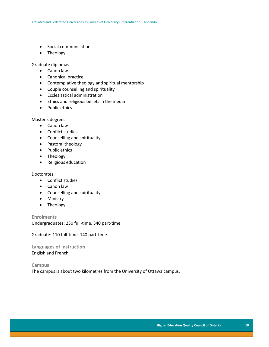- Social communication
- Theology

Graduate diplomas

- Canon law
- Canonical practice
- Contemplative theology and spiritual mentorship
- Couple counselling and spirituality
- Ecclesiastical administration
- **•** Ethics and religious beliefs in the media
- Public ethics

Master's degrees

- Canon law
- Conflict studies
- Counselling and spirituality
- Pastoral theology
- Public ethics
- Theology
- Religious education

## **Doctorates**

- Conflict studies
- Canon law
- Counselling and spirituality
- Ministry
- Theology

**Enrolments** Undergraduates: 230 full-time, 340 part-time

Graduate: 110 full-time, 140 part-time

**Languages of Instruction** English and French

**Campus** The campus is about two kilometres from the University of Ottawa campus.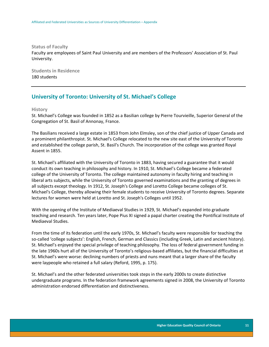**Status of Faculty**

Faculty are employees of Saint Paul University and are members of the Professors' Association of St. Paul University.

**Students in Residence** 180 students

# <span id="page-11-0"></span>**University of Toronto: University of St. Michael's College**

**History**

St. Michael's College was founded in 1852 as a Basilian college by Pierre Tourvieille, Superior General of the Congregation of St. Basil of Annonay, France.

The Basilians received a large estate in 1853 from John Elmsley, son of the chief justice of Upper Canada and a prominent philanthropist. St. Michael's College relocated to the new site east of the University of Toronto and established the college parish, St. Basil's Church. The incorporation of the college was granted Royal Assent in 1855.

St. Michael's affiliated with the University of Toronto in 1883, having secured a guarantee that it would conduct its own teaching in philosophy and history. In 1910, St. Michael's College became a federated college of the University of Toronto. The college maintained autonomy in faculty hiring and teaching in liberal arts subjects, while the University of Toronto governed examinations and the granting of degrees in all subjects except theology. In 1912, St. Joseph's College and Loretto College became colleges of St. Michael's College, thereby allowing their female students to receive University of Toronto degrees. Separate lectures for women were held at Loretto and St. Joseph's Colleges until 1952.

With the opening of the Institute of Mediaeval Studies in 1929, St. Michael's expanded into graduate teaching and research. Ten years later, Pope Pius XI signed a papal charter creating the Pontifical Institute of Mediaeval Studies.

From the time of its federation until the early 1970s, St. Michael's faculty were responsible for teaching the so-called 'college subjects': English, French, German and Classics (including Greek, Latin and ancient history). St. Michael's enjoyed the special privilege of teaching philosophy. The loss of federal government funding in the late 1960s hurt all of the University of Toronto's religious-based affiliates, but the financial difficulties at St. Michael's were worse: declining numbers of priests and nuns meant that a larger share of the faculty were laypeople who retained a full salary (Reford, 1995, p. 175).

St. Michael's and the other federated universities took steps in the early 2000s to create distinctive undergraduate programs. In the federation framework agreements signed in 2008, the University of Toronto administration endorsed differentiation and distinctiveness.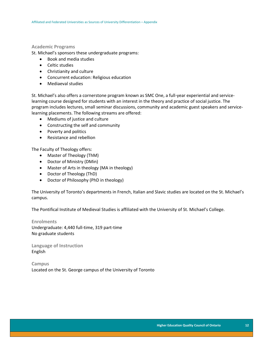## **Academic Programs**

St. Michael's sponsors these undergraduate programs:

- Book and media studies
- Celtic studies
- Christianity and culture
- Concurrent education: Religious education
- Mediaeval studies

St. Michael's also offers a cornerstone program known as SMC One, a full-year experiential and servicelearning course designed for students with an interest in the theory and practice of social justice. The program includes lectures, small seminar discussions, community and academic guest speakers and servicelearning placements. The following streams are offered:

- Mediums of justice and culture
- Constructing the self and community
- Poverty and politics
- Resistance and rebellion

The Faculty of Theology offers:

- Master of Theology (ThM)
- Doctor of Ministry (DMin)
- Master of Arts in theology (MA in theology)
- Doctor of Theology (ThD)
- Doctor of Philosophy (PhD in theology)

The University of Toronto's departments in French, Italian and Slavic studies are located on the St. Michael's campus.

The Pontifical Institute of Medieval Studies is affiliated with the University of St. Michael's College.

**Enrolments** Undergraduate: 4,440 full-time, 319 part-time No graduate students

**Language of Instruction** English

**Campus** Located on the St. George campus of the University of Toronto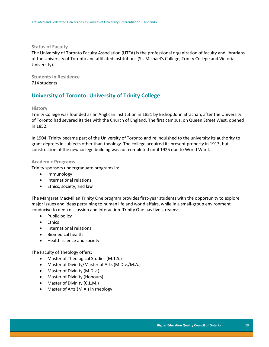**Status of Faculty**

The University of Toronto Faculty Association (UTFA) is the professional organization of faculty and librarians of the University of Toronto and affiliated institutions (St. Michael's College, Trinity College and Victoria University).

**Students in Residence** 714 students

# <span id="page-13-0"></span>**University of Toronto: University of Trinity College**

## **History**

Trinity College was founded as an Anglican institution in 1851 by Bishop John Strachan, after the University of Toronto had severed its ties with the Church of England. The first campus, on Queen Street West, opened in 1852.

In 1904, Trinity became part of the University of Toronto and relinquished to the university its authority to grant degrees in subjects other than theology. The college acquired its present property in 1913, but construction of the new college building was not completed until 1925 due to World War I.

## **Academic Programs**

Trinity sponsors undergraduate programs in:

- Immunology
- International relations
- Ethics, society, and law

The Margaret MacMillan Trinity One program provides first-year students with the opportunity to explore major issues and ideas pertaining to human life and world affairs, while in a small-group environment conducive to deep discussion and interaction. Trinity One has five streams:

- Public policy
- Ethics
- International relations
- Biomedical health
- Health science and society

The Faculty of Theology offers:

- Master of Theological Studies (M.T.S.)
- Master of Divinity/Master of Arts (M.Div./M.A.)
- Master of Divinity (M.Div.)
- Master of Divinity (Honours)
- Master of Divinity (C.L.M.)
- Master of Arts (M.A.) in rheology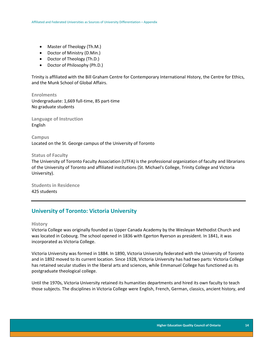- Master of Theology (Th.M.)
- Doctor of Ministry (D.Min.)
- Doctor of Theology (Th.D.)
- Doctor of Philosophy (Ph.D.)

Trinity is affiliated with the Bill Graham Centre for Contemporary International History, the Centre for Ethics, and the Munk School of Global Affairs.

**Enrolments** Undergraduate: 1,669 full-time, 85 part-time No graduate students

**Language of Instruction** English

**Campus** Located on the St. George campus of the University of Toronto

### **Status of Faculty**

The University of Toronto Faculty Association (UTFA) is the professional organization of faculty and librarians of the University of Toronto and affiliated institutions (St. Michael's College, Trinity College and Victoria University).

**Students in Residence** 425 students

# <span id="page-14-0"></span>**University of Toronto: Victoria University**

## **History**

Victoria College was originally founded as Upper Canada Academy by the Wesleyan Methodist Church and was located in Cobourg. The school opened in 1836 with Egerton Ryerson as president. In 1841, it was incorporated as Victoria College.

Victoria University was formed in 1884. In 1890, Victoria University federated with the University of Toronto and in 1892 moved to its current location. Since 1928, Victoria University has had two parts: Victoria College has retained secular studies in the liberal arts and sciences, while Emmanuel College has functioned as its postgraduate theological college.

Until the 1970s, Victoria University retained its humanities departments and hired its own faculty to teach those subjects. The disciplines in Victoria College were English, French, German, classics, ancient history, and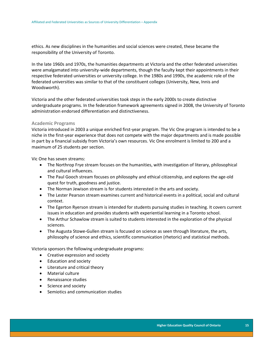ethics. As new disciplines in the humanities and social sciences were created, these became the responsibility of the University of Toronto.

In the late 1960s and 1970s, the humanities departments at Victoria and the other federated universities were amalgamated into university-wide departments, though the faculty kept their appointments in their respective federated universities or university college. In the 1980s and 1990s, the academic role of the federated universities was similar to that of the constituent colleges (University, New, Innis and Woodsworth).

Victoria and the other federated universities took steps in the early 2000s to create distinctive undergraduate programs. In the federation framework agreements signed in 2008, the University of Toronto administration endorsed differentiation and distinctiveness.

#### **Academic Programs**

Victoria introduced in 2003 a unique enriched first-year program. The Vic One program is intended to be a niche in the first-year experience that does not compete with the major departments and is made possible in part by a financial subsidy from Victoria's own resources. Vic One enrolment is limited to 200 and a maximum of 25 students per section.

Vic One has seven streams:

- The Northrop Frye stream focuses on the humanities, with investigation of literary, philosophical and cultural influences.
- The Paul Gooch stream focuses on philosophy and ethical citizenship, and explores the age-old quest for truth, goodness and justice.
- The Norman Jewison stream is for students interested in the arts and society.
- The Lester Pearson stream examines current and historical events in a political, social and cultural context.
- The Egerton Ryerson stream is intended for students pursuing studies in teaching. It covers current issues in education and provides students with experiential learning in a Toronto school.
- The Arthur Schawlow stream is suited to students interested in the exploration of the physical sciences.
- The Augusta Stowe-Gullen stream is focused on science as seen through literature, the arts, philosophy of science and ethics, scientific communication (rhetoric) and statistical methods.

Victoria sponsors the following undergraduate programs:

- Creative expression and society
- Education and society
- Literature and critical theory
- Material culture
- Renaissance studies
- Science and society
- Semiotics and communication studies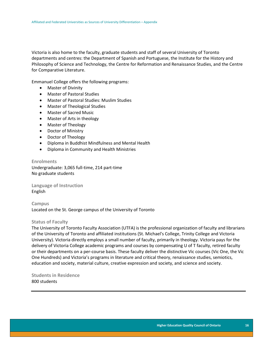Victoria is also home to the faculty, graduate students and staff of several University of Toronto departments and centres: the Department of Spanish and Portuguese, the Institute for the History and Philosophy of Science and Technology, the Centre for Reformation and Renaissance Studies, and the Centre for Comparative Literature.

Emmanuel College offers the following programs:

- Master of Divinity
- Master of Pastoral Studies
- Master of Pastoral Studies: Muslim Studies
- Master of Theological Studies
- Master of Sacred Music
- Master of Arts in theology
- Master of Theology
- Doctor of Ministry
- Doctor of Theology
- Diploma in Buddhist Mindfulness and Mental Health
- Diploma in Community and Health Ministries

**Enrolments** Undergraduate: 3,065 full-time, 214 part-time No graduate students

**Language of Instruction** English

**Campus** Located on the St. George campus of the University of Toronto

#### **Status of Faculty**

The University of Toronto Faculty Association (UTFA) is the professional organization of faculty and librarians of the University of Toronto and affiliated institutions (St. Michael's College, Trinity College and Victoria University). Victoria directly employs a small number of faculty, primarily in theology. Victoria pays for the delivery of Victoria College academic programs and courses by compensating U of T faculty, retired faculty or their departments on a per-course basis. These faculty deliver the distinctive Vic courses (Vic One, the Vic One Hundreds) and Victoria's programs in literature and critical theory, renaissance studies, semiotics, education and society, material culture, creative expression and society, and science and society.

**Students in Residence** 800 students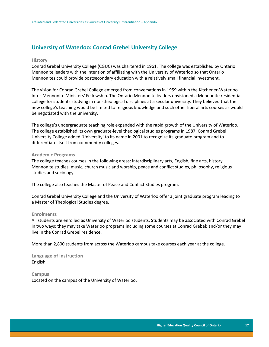# <span id="page-17-0"></span>**University of Waterloo: Conrad Grebel University College**

#### **History**

Conrad Grebel University College (CGUC) was chartered in 1961. The college was established by Ontario Mennonite leaders with the intention of affiliating with the University of Waterloo so that Ontario Mennonites could provide postsecondary education with a relatively small financial investment.

The vision for Conrad Grebel College emerged from conversations in 1959 within the Kitchener-Waterloo Inter-Mennonite Ministers' Fellowship. The Ontario Mennonite leaders envisioned a Mennonite residential college for students studying in non-theological disciplines at a secular university. They believed that the new college's teaching would be limited to religious knowledge and such other liberal arts courses as would be negotiated with the university.

The college's undergraduate teaching role expanded with the rapid growth of the University of Waterloo. The college established its own graduate-level theological studies programs in 1987. Conrad Grebel University College added 'University' to its name in 2001 to recognize its graduate program and to differentiate itself from community colleges.

## **Academic Programs**

The college teaches courses in the following areas: interdisciplinary arts, English, fine arts, history, Mennonite studies, music, church music and worship, peace and conflict studies, philosophy, religious studies and sociology.

The college also teaches the Master of Peace and Conflict Studies program.

Conrad Grebel University College and the University of Waterloo offer a joint graduate program leading to a Master of Theological Studies degree.

## **Enrolments**

All students are enrolled as University of Waterloo students. Students may be associated with Conrad Grebel in two ways: they may take Waterloo programs including some courses at Conrad Grebel; and/or they may live in the Conrad Grebel residence.

More than 2,800 students from across the Waterloo campus take courses each year at the college.

**Language of Instruction** English

**Campus**

Located on the campus of the University of Waterloo.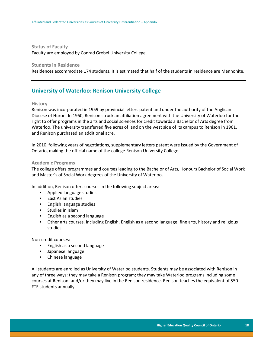**Status of Faculty** Faculty are employed by Conrad Grebel University College.

## **Students in Residence**

Residences accommodate 174 students. It is estimated that half of the students in residence are Mennonite.

# <span id="page-18-0"></span>**University of Waterloo: Renison University College**

#### **History**

Renison was incorporated in 1959 by provincial letters patent and under the authority of the Anglican Diocese of Huron. In 1960, Renison struck an affiliation agreement with the University of Waterloo for the right to offer programs in the arts and social sciences for credit towards a Bachelor of Arts degree from Waterloo. The university transferred five acres of land on the west side of its campus to Renison in 1961, and Renison purchased an additional acre.

In 2010, following years of negotiations, supplementary letters patent were issued by the Government of Ontario, making the official name of the college Renison University College.

#### **Academic Programs**

The college offers programmes and courses leading to the Bachelor of Arts, Honours Bachelor of Social Work and Master's of Social Work degrees of the University of Waterloo.

In addition, Renison offers courses in the following subject areas:

- **Applied language studies**
- **East Asian studies**
- **English language studies**
- **Studies in Islam**
- English as a second language
- Other arts courses, including English, English as a second language, fine arts, history and religious studies

Non-credit courses:

- **English as a second language**
- **Japanese language**
- Chinese language

All students are enrolled as University of Waterloo students. Students may be associated with Renison in any of three ways: they may take a Renison program; they may take Waterloo programs including some courses at Renison; and/or they may live in the Renison residence. Renison teaches the equivalent of 550 FTE students annually.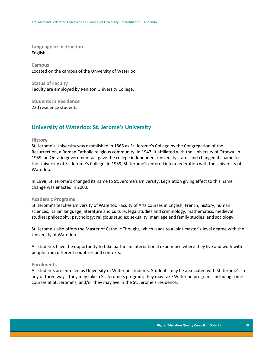**Language of Instruction** English

**Campus** Located on the campus of the University of Waterloo

**Status of Faculty** Faculty are employed by Renison University College.

**Students in Residence** 220 residence students

# <span id="page-19-0"></span>**University of Waterloo: St. Jerome's University**

## **History**

St. Jerome's University was established in 1865 as St. Jerome's College by the Congregation of the Resurrection, a Roman Catholic religious community. In 1947, it affiliated with the University of Ottawa. In 1959, an Ontario government act gave the college independent university status and changed its name to the University of St. Jerome's College. In 1959, St. Jerome's entered into a federation with the University of Waterloo.

In 1998, St. Jerome's changed its name to St. Jerome's University. Legislation giving effect to this name change was enacted in 2000.

#### **Academic Programs**

St. Jerome's teaches University of Waterloo Faculty of Arts courses in English; French; history; human sciences; Italian language, literature and culture; legal studies and criminology; mathematics; medieval studies; philosophy; psychology; religious studies; sexuality, marriage and family studies; and sociology.

St. Jerome's also offers the Master of Catholic Thought, which leads to a joint master's-level degree with the University of Waterloo.

All students have the opportunity to take part in an international experience where they live and work with people from different countries and contexts.

## **Enrolments**

All students are enrolled as University of Waterloo students. Students may be associated with St. Jerome's in any of three ways: they may take a St. Jerome's program; they may take Waterloo programs including some courses at St. Jerome's; and/or they may live in the St. Jerome's residence.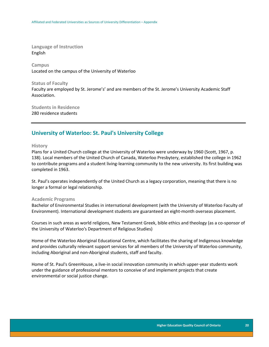**Language of Instruction** English

**Campus** Located on the campus of the University of Waterloo

**Status of Faculty** Faculty are employed by St. Jerome's' and are members of the St. Jerome's University Academic Staff Association.

**Students in Residence** 280 residence students

# <span id="page-20-0"></span>**University of Waterloo: St. Paul's University College**

**History**

Plans for a United Church college at the University of Waterloo were underway by 1960 (Scott, 1967, p. 138). Local members of the United Church of Canada, Waterloo Presbytery, established the college in 1962 to contribute programs and a student living-learning community to the new university. Its first building was completed in 1963.

St. Paul's operates independently of the United Church as a legacy corporation, meaning that there is no longer a formal or legal relationship.

#### **Academic Programs**

Bachelor of Environmental Studies in international development (with the University of Waterloo Faculty of Environment). International development students are guaranteed an eight-month overseas placement.

Courses in such areas as world religions, New Testament Greek, bible ethics and theology (as a co-sponsor of the University of Waterloo's Department of Religious Studies)

Home of the Waterloo Aboriginal Educational Centre, which facilitates the sharing of Indigenous knowledge and provides culturally relevant support services for all members of the University of Waterloo community, including Aboriginal and non-Aboriginal students, staff and faculty.

Home of St. Paul's GreenHouse, a live-in social innovation community in which upper-year students work under the guidance of professional mentors to conceive of and implement projects that create environmental or social justice change.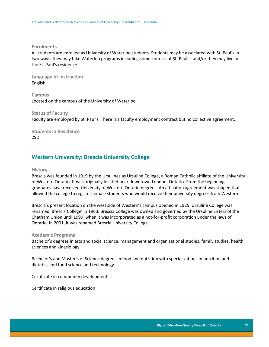#### **Enrolments**

All students are enrolled as University of Waterloo students. Students may be associated with St. Paul's in two ways: they may take Waterloo programs including some courses at St. Paul's; and/or they may live in the St. Paul's residence.

**Language of Instruction** English

**Campus** Located on the campus of the University of Waterloo

**Status of Faculty** Faculty are employed by St. Paul's. There is a faculty employment contract but no collective agreement.

**Students in Residence** 292

# <span id="page-21-0"></span>**Western University: Brescia University College**

#### **History**

Brescia was founded in 1919 by the Ursulines as Ursuline College, a Roman Catholic affiliate of the University of Western Ontario. It was originally located near downtown London, Ontario. From the beginning, graduates have received University of Western Ontario degrees. An affiliation agreement was shaped that allowed the college to register female students who would receive their university degrees from Western.

Brescia's present location on the west side of Western's campus opened in 1925. Ursuline College was renamed 'Brescia College' in 1963. Brescia College was owned and governed by the Ursuline Sisters of the Chatham Union until 1999, when it was incorporated as a not-for-profit corporation under the laws of Ontario. In 2001, it was renamed Brescia University College.

#### **Academic Programs**

Bachelor's degrees in arts and social science, management and organizational studies, family studies, health sciences and kinesiology

Bachelor's and Master's of Science degrees in food and nutrition with specializations in nutrition and dietetics and food science and technology

Certificate in community development

Certificate in religious education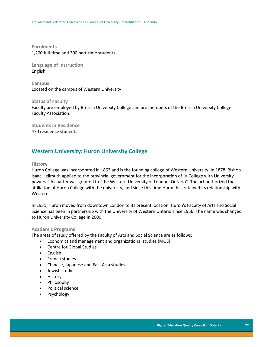**Enrolments** 1,200 full-time and 200 part-time students

**Language of Instruction** English

**Campus** Located on the campus of Western University

**Status of Faculty** Faculty are employed by Brescia University College and are members of the Brescia University College Faculty Association.

**Students in Residence** 470 residence students

# <span id="page-22-0"></span>**Western University: Huron University College**

## **History**

Huron College was incorporated in 1863 and is the founding college of Western University. In 1878, Bishop Isaac Hellmuth applied to the provincial government for the incorporation of "a College with University powers." A charter was granted to "the Western University of London, Ontario". The act authorized the affiliation of Huron College with the university, and since this time Huron has retained its relationship with Western.

In 1951, Huron moved from downtown London to its present location. Huron's Faculty of Arts and Social Science has been in partnership with the University of Western Ontario since 1956. The name was changed to Huron University College in 2000.

## **Academic Programs**

The areas of study offered by the Faculty of Arts and Social Science are as follows:

- Economics and management and organizational studies (MOS)
- Centre for Global Studies
- English
- French studies
- Chinese, Japanese and East Asia studies
- Jewish studies
- History
- Philosophy
- Political science
- Psychology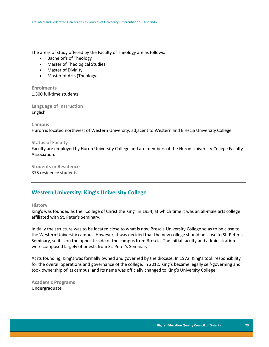The areas of study offered by the Faculty of Theology are as follows:

- Bachelor's of Theology
- Master of Theological Studies
- Master of Divinity
- Master of Arts (Theology)

**Enrolments** 1,300 full-time students

**Language of Instruction** English

**Campus**

Huron is located northwest of Western University, adjacent to Western and Brescia University College.

## **Status of Faculty**

Faculty are employed by Huron University College and are members of the Huron University College Faculty Association.

**Students in Residence** 375 residence students

# <span id="page-23-0"></span>**Western University: King's University College**

#### **History**

King's was founded as the "College of Christ the King" in 1954, at which time it was an all-male arts college affiliated with St. Peter's Seminary.

Initially the structure was to be located close to what is now Brescia University College so as to be close to the Western University campus. However, it was decided that the new college should be close to St. Peter's Seminary, so it is on the opposite side of the campus from Brescia. The initial faculty and administration were composed largely of priests from St. Peter's Seminary.

At its founding, King's was formally owned and governed by the diocese. In 1972, King's took responsibility for the overall operations and governance of the college. In 2012, King's became legally self-governing and took ownership of its campus, and its name was officially changed to King's University College.

**Academic Programs** Undergraduate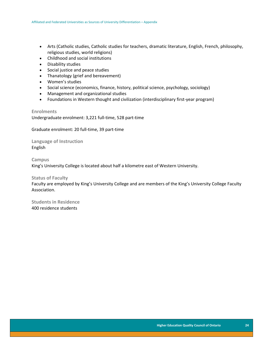- Arts (Catholic studies, Catholic studies for teachers, dramatic literature, English, French, philosophy, religious studies, world religions)
- Childhood and social institutions
- Disability studies
- Social justice and peace studies
- Thanatology (grief and bereavement)
- Women's studies
- Social science (economics, finance, history, political science, psychology, sociology)
- Management and organizational studies
- Foundations in Western thought and civilization (interdisciplinary first-year program)

**Enrolments** Undergraduate enrolment: 3,221 full-time, 528 part-time

Graduate enrolment: 20 full-time, 39 part-time

**Language of Instruction** English

**Campus** King's University College is located about half a kilometre east of Western University.

# **Status of Faculty**

Faculty are employed by King's University College and are members of the King's University College Faculty Association.

**Students in Residence** 400 residence students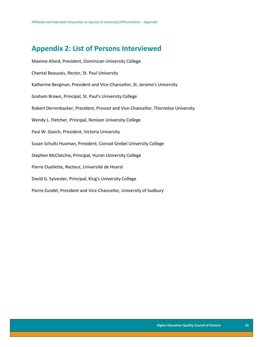# <span id="page-25-0"></span>**Appendix 2: List of Persons Interviewed**

Maxime Allard, President, Dominican University College Chantal Beauvais, Rector, St. Paul University Katherine Bergman, President and Vice-Chancellor, St. Jerome's University Graham Brown, Principal, St. Paul's University College Robert Derrenbacker, President, Provost and Vice-Chancellor, Thorneloe University Wendy L. Fletcher, Principal, Renison University College Paul W. Gooch, President, Victoria University Susan Schultz Huxman, President, Conrad Grebel University College Stephen McClatchie, Principal, Huron University College Pierre Ouellette, Recteur, Université de Hearst David G. Sylvester, Principal, King's University College Pierre Zundel, President and Vice-Chancellor, University of Sudbury